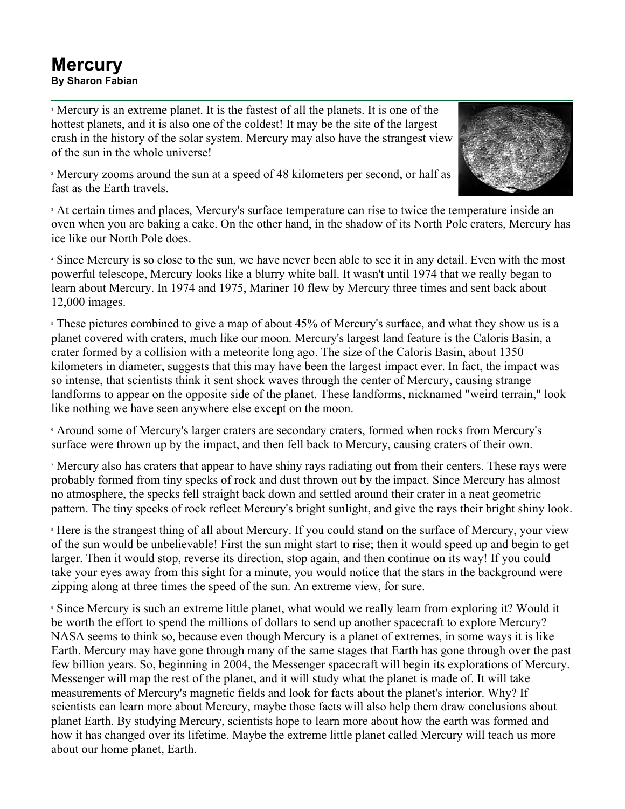## **Mercury By Sharon Fabian**

<sup>1</sup> Mercury is an extreme planet. It is the fastest of all the planets. It is one of the hottest planets, and it is also one of the coldest! It may be the site of the largest crash in the history of the solar system. Mercury may also have the strangest view of the sun in the whole universe!



<sup>2</sup> Mercury zooms around the sun at a speed of 48 kilometers per second, or half as fast as the Earth travels.

<sup>3</sup> At certain times and places, Mercury's surface temperature can rise to twice the temperature inside an oven when you are baking a cake. On the other hand, in the shadow of its North Pole craters, Mercury has ice like our North Pole does.

<sup>4</sup> Since Mercury is so close to the sun, we have never been able to see it in any detail. Even with the most powerful telescope, Mercury looks like a blurry white ball. It wasn't until 1974 that we really began to learn about Mercury. In 1974 and 1975, Mariner 10 flew by Mercury three times and sent back about 12,000 images.

<sup>5</sup> These pictures combined to give a map of about 45% of Mercury's surface, and what they show us is a planet covered with craters, much like our moon. Mercury's largest land feature is the Caloris Basin, a crater formed by a collision with a meteorite long ago. The size of the Caloris Basin, about 1350 kilometers in diameter, suggests that this may have been the largest impact ever. In fact, the impact was so intense, that scientists think it sent shock waves through the center of Mercury, causing strange landforms to appear on the opposite side of the planet. These landforms, nicknamed "weird terrain," look like nothing we have seen anywhere else except on the moon.

<sup>6</sup> Around some of Mercury's larger craters are secondary craters, formed when rocks from Mercury's surface were thrown up by the impact, and then fell back to Mercury, causing craters of their own.

<sup>7</sup> Mercury also has craters that appear to have shiny rays radiating out from their centers. These rays were probably formed from tiny specks of rock and dust thrown out by the impact. Since Mercury has almost no atmosphere, the specks fell straight back down and settled around their crater in a neat geometric pattern. The tiny specks of rock reflect Mercury's bright sunlight, and give the rays their bright shiny look.

<sup>8</sup> Here is the strangest thing of all about Mercury. If you could stand on the surface of Mercury, your view of the sun would be unbelievable! First the sun might start to rise; then it would speed up and begin to get larger. Then it would stop, reverse its direction, stop again, and then continue on its way! If you could take your eyes away from this sight for a minute, you would notice that the stars in the background were zipping along at three times the speed of the sun. An extreme view, for sure.

<sup>9</sup> Since Mercury is such an extreme little planet, what would we really learn from exploring it? Would it be worth the effort to spend the millions of dollars to send up another spacecraft to explore Mercury? NASA seems to think so, because even though Mercury is a planet of extremes, in some ways it is like Earth. Mercury may have gone through many of the same stages that Earth has gone through over the past few billion years. So, beginning in 2004, the Messenger spacecraft will begin its explorations of Mercury. Messenger will map the rest of the planet, and it will study what the planet is made of. It will take measurements of Mercury's magnetic fields and look for facts about the planet's interior. Why? If scientists can learn more about Mercury, maybe those facts will also help them draw conclusions about planet Earth. By studying Mercury, scientists hope to learn more about how the earth was formed and how it has changed over its lifetime. Maybe the extreme little planet called Mercury will teach us more about our home planet, Earth.